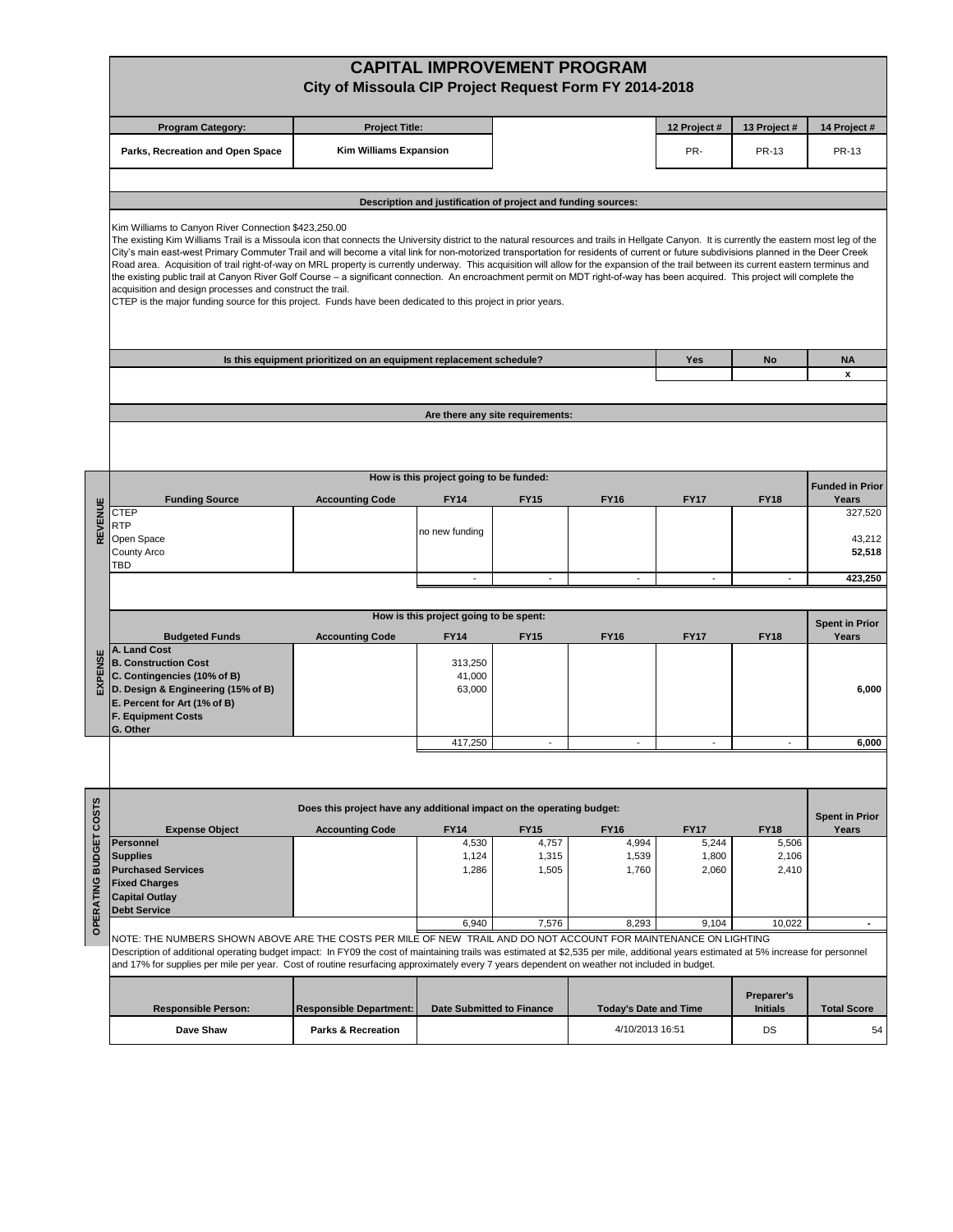| <b>CAPITAL IMPROVEMENT PROGRAM</b><br>City of Missoula CIP Project Request Form FY 2014-2018                                                                                                                                                                                                                                                                                                                                                                                                                                                                                                                                                                                                                                                                                                                                                                                                                                                                                                                                                                                  |                                                                                                                                                                                                                                                                                                                                                                                                                                                          |                                                                       |                                         |                                                               |                              |                                      |                      |                        |  |  |  |
|-------------------------------------------------------------------------------------------------------------------------------------------------------------------------------------------------------------------------------------------------------------------------------------------------------------------------------------------------------------------------------------------------------------------------------------------------------------------------------------------------------------------------------------------------------------------------------------------------------------------------------------------------------------------------------------------------------------------------------------------------------------------------------------------------------------------------------------------------------------------------------------------------------------------------------------------------------------------------------------------------------------------------------------------------------------------------------|----------------------------------------------------------------------------------------------------------------------------------------------------------------------------------------------------------------------------------------------------------------------------------------------------------------------------------------------------------------------------------------------------------------------------------------------------------|-----------------------------------------------------------------------|-----------------------------------------|---------------------------------------------------------------|------------------------------|--------------------------------------|----------------------|------------------------|--|--|--|
|                                                                                                                                                                                                                                                                                                                                                                                                                                                                                                                                                                                                                                                                                                                                                                                                                                                                                                                                                                                                                                                                               | <b>Program Category:</b>                                                                                                                                                                                                                                                                                                                                                                                                                                 | <b>Project Title:</b>                                                 |                                         |                                                               |                              | 12 Project#                          | 13 Project #         | 14 Project #           |  |  |  |
|                                                                                                                                                                                                                                                                                                                                                                                                                                                                                                                                                                                                                                                                                                                                                                                                                                                                                                                                                                                                                                                                               | Parks, Recreation and Open Space                                                                                                                                                                                                                                                                                                                                                                                                                         | <b>Kim Williams Expansion</b>                                         |                                         |                                                               |                              | PR-                                  | <b>PR-13</b>         | <b>PR-13</b>           |  |  |  |
|                                                                                                                                                                                                                                                                                                                                                                                                                                                                                                                                                                                                                                                                                                                                                                                                                                                                                                                                                                                                                                                                               |                                                                                                                                                                                                                                                                                                                                                                                                                                                          |                                                                       |                                         |                                                               |                              |                                      |                      |                        |  |  |  |
|                                                                                                                                                                                                                                                                                                                                                                                                                                                                                                                                                                                                                                                                                                                                                                                                                                                                                                                                                                                                                                                                               |                                                                                                                                                                                                                                                                                                                                                                                                                                                          |                                                                       |                                         | Description and justification of project and funding sources: |                              |                                      |                      |                        |  |  |  |
| Kim Williams to Canyon River Connection \$423,250.00<br>The existing Kim Williams Trail is a Missoula icon that connects the University district to the natural resources and trails in Hellgate Canyon. It is currently the eastern most leg of the<br>City's main east-west Primary Commuter Trail and will become a vital link for non-motorized transportation for residents of current or future subdivisions planned in the Deer Creek<br>Road area. Acquisition of trail right-of-way on MRL property is currently underway. This acquisition will allow for the expansion of the trail between its current eastern terminus and<br>the existing public trail at Canyon River Golf Course - a significant connection. An encroachment permit on MDT right-of-way has been acquired. This project will complete the<br>acquisition and design processes and construct the trail.<br>CTEP is the major funding source for this project. Funds have been dedicated to this project in prior years.<br>Is this equipment prioritized on an equipment replacement schedule? |                                                                                                                                                                                                                                                                                                                                                                                                                                                          |                                                                       |                                         |                                                               |                              |                                      |                      |                        |  |  |  |
|                                                                                                                                                                                                                                                                                                                                                                                                                                                                                                                                                                                                                                                                                                                                                                                                                                                                                                                                                                                                                                                                               |                                                                                                                                                                                                                                                                                                                                                                                                                                                          |                                                                       |                                         |                                                               |                              | Yes                                  | No                   | <b>NA</b><br>x         |  |  |  |
|                                                                                                                                                                                                                                                                                                                                                                                                                                                                                                                                                                                                                                                                                                                                                                                                                                                                                                                                                                                                                                                                               |                                                                                                                                                                                                                                                                                                                                                                                                                                                          |                                                                       |                                         |                                                               |                              |                                      |                      |                        |  |  |  |
|                                                                                                                                                                                                                                                                                                                                                                                                                                                                                                                                                                                                                                                                                                                                                                                                                                                                                                                                                                                                                                                                               |                                                                                                                                                                                                                                                                                                                                                                                                                                                          |                                                                       |                                         | Are there any site requirements:                              |                              |                                      |                      |                        |  |  |  |
|                                                                                                                                                                                                                                                                                                                                                                                                                                                                                                                                                                                                                                                                                                                                                                                                                                                                                                                                                                                                                                                                               |                                                                                                                                                                                                                                                                                                                                                                                                                                                          |                                                                       |                                         |                                                               |                              |                                      |                      |                        |  |  |  |
|                                                                                                                                                                                                                                                                                                                                                                                                                                                                                                                                                                                                                                                                                                                                                                                                                                                                                                                                                                                                                                                                               |                                                                                                                                                                                                                                                                                                                                                                                                                                                          |                                                                       | How is this project going to be funded: |                                                               |                              |                                      |                      | <b>Funded in Prior</b> |  |  |  |
| REVENUE                                                                                                                                                                                                                                                                                                                                                                                                                                                                                                                                                                                                                                                                                                                                                                                                                                                                                                                                                                                                                                                                       | <b>Funding Source</b><br><b>CTEP</b><br><b>RTP</b>                                                                                                                                                                                                                                                                                                                                                                                                       | <b>Accounting Code</b>                                                | FY14<br>no new funding                  | <b>FY15</b>                                                   | <b>FY16</b>                  | <b>FY17</b>                          | <b>FY18</b>          | Years<br>327,520       |  |  |  |
|                                                                                                                                                                                                                                                                                                                                                                                                                                                                                                                                                                                                                                                                                                                                                                                                                                                                                                                                                                                                                                                                               | Open Space<br>County Arco<br><b>TBD</b>                                                                                                                                                                                                                                                                                                                                                                                                                  |                                                                       |                                         |                                                               |                              |                                      |                      | 43,212<br>52,518       |  |  |  |
|                                                                                                                                                                                                                                                                                                                                                                                                                                                                                                                                                                                                                                                                                                                                                                                                                                                                                                                                                                                                                                                                               |                                                                                                                                                                                                                                                                                                                                                                                                                                                          |                                                                       | $\overline{\phantom{a}}$                | $\overline{\phantom{a}}$                                      | $\blacksquare$               | $\blacksquare$                       | $\sim$               | 423,250                |  |  |  |
|                                                                                                                                                                                                                                                                                                                                                                                                                                                                                                                                                                                                                                                                                                                                                                                                                                                                                                                                                                                                                                                                               |                                                                                                                                                                                                                                                                                                                                                                                                                                                          |                                                                       | How is this project going to be spent:  |                                                               |                              |                                      |                      |                        |  |  |  |
|                                                                                                                                                                                                                                                                                                                                                                                                                                                                                                                                                                                                                                                                                                                                                                                                                                                                                                                                                                                                                                                                               | <b>Budgeted Funds</b>                                                                                                                                                                                                                                                                                                                                                                                                                                    | <b>Accounting Code</b>                                                | <b>FY17</b>                             | <b>Spent in Prior</b><br>Years                                |                              |                                      |                      |                        |  |  |  |
| EXPENSE                                                                                                                                                                                                                                                                                                                                                                                                                                                                                                                                                                                                                                                                                                                                                                                                                                                                                                                                                                                                                                                                       | A. Land Cost<br><b>B. Construction Cost</b><br>C. Contingencies (10% of B)<br>D. Design & Engineering (15% of B)<br>E. Percent for Art (1% of B)<br><b>F. Equipment Costs</b><br>G. Other                                                                                                                                                                                                                                                                |                                                                       | 313,250<br>41,000<br>63,000             |                                                               |                              |                                      |                      | 6,000                  |  |  |  |
|                                                                                                                                                                                                                                                                                                                                                                                                                                                                                                                                                                                                                                                                                                                                                                                                                                                                                                                                                                                                                                                                               |                                                                                                                                                                                                                                                                                                                                                                                                                                                          |                                                                       | 417,250                                 | $\blacksquare$                                                | $\blacksquare$               | $\overline{\phantom{a}}$             |                      | 6,000                  |  |  |  |
|                                                                                                                                                                                                                                                                                                                                                                                                                                                                                                                                                                                                                                                                                                                                                                                                                                                                                                                                                                                                                                                                               |                                                                                                                                                                                                                                                                                                                                                                                                                                                          |                                                                       |                                         |                                                               |                              |                                      |                      |                        |  |  |  |
|                                                                                                                                                                                                                                                                                                                                                                                                                                                                                                                                                                                                                                                                                                                                                                                                                                                                                                                                                                                                                                                                               |                                                                                                                                                                                                                                                                                                                                                                                                                                                          | Does this project have any additional impact on the operating budget: |                                         |                                                               |                              |                                      |                      | <b>Spent in Prior</b>  |  |  |  |
|                                                                                                                                                                                                                                                                                                                                                                                                                                                                                                                                                                                                                                                                                                                                                                                                                                                                                                                                                                                                                                                                               | <b>Expense Object</b><br><b>Personnel</b>                                                                                                                                                                                                                                                                                                                                                                                                                | <b>Accounting Code</b>                                                | <b>FY14</b><br>4,530                    | <b>FY15</b><br>4,757                                          | <b>FY16</b><br>4,994         | <b>FY17</b><br>5,244                 | <b>FY18</b><br>5,506 | Years                  |  |  |  |
| OPERATING BUDGET COSTS                                                                                                                                                                                                                                                                                                                                                                                                                                                                                                                                                                                                                                                                                                                                                                                                                                                                                                                                                                                                                                                        | <b>Supplies</b><br><b>Purchased Services</b>                                                                                                                                                                                                                                                                                                                                                                                                             |                                                                       | 1,124<br>1,286                          | 1,315<br>1,505                                                | 1,539<br>1,760               | 1,800<br>2,060                       | 2,106<br>2,410       |                        |  |  |  |
|                                                                                                                                                                                                                                                                                                                                                                                                                                                                                                                                                                                                                                                                                                                                                                                                                                                                                                                                                                                                                                                                               | <b>Fixed Charges</b><br><b>Capital Outlay</b>                                                                                                                                                                                                                                                                                                                                                                                                            |                                                                       |                                         |                                                               |                              |                                      |                      |                        |  |  |  |
|                                                                                                                                                                                                                                                                                                                                                                                                                                                                                                                                                                                                                                                                                                                                                                                                                                                                                                                                                                                                                                                                               | <b>Debt Service</b>                                                                                                                                                                                                                                                                                                                                                                                                                                      |                                                                       | 6,940                                   | 7,576                                                         | 8,293                        | 9,104                                | 10,022               | ٠                      |  |  |  |
|                                                                                                                                                                                                                                                                                                                                                                                                                                                                                                                                                                                                                                                                                                                                                                                                                                                                                                                                                                                                                                                                               | NOTE: THE NUMBERS SHOWN ABOVE ARE THE COSTS PER MILE OF NEW TRAIL AND DO NOT ACCOUNT FOR MAINTENANCE ON LIGHTING<br>Description of additional operating budget impact: In FY09 the cost of maintaining trails was estimated at \$2,535 per mile, additional years estimated at 5% increase for personnel<br>and 17% for supplies per mile per year. Cost of routine resurfacing approximately every 7 years dependent on weather not included in budget. |                                                                       |                                         |                                                               |                              |                                      |                      |                        |  |  |  |
|                                                                                                                                                                                                                                                                                                                                                                                                                                                                                                                                                                                                                                                                                                                                                                                                                                                                                                                                                                                                                                                                               | <b>Responsible Person:</b>                                                                                                                                                                                                                                                                                                                                                                                                                               | <b>Responsible Department:</b>                                        |                                         | <b>Date Submitted to Finance</b>                              | <b>Today's Date and Time</b> | <b>Preparer's</b><br><b>Initials</b> |                      | <b>Total Score</b>     |  |  |  |
|                                                                                                                                                                                                                                                                                                                                                                                                                                                                                                                                                                                                                                                                                                                                                                                                                                                                                                                                                                                                                                                                               | Dave Shaw                                                                                                                                                                                                                                                                                                                                                                                                                                                | <b>Parks &amp; Recreation</b>                                         |                                         |                                                               | 4/10/2013 16:51              |                                      | DS                   | 54                     |  |  |  |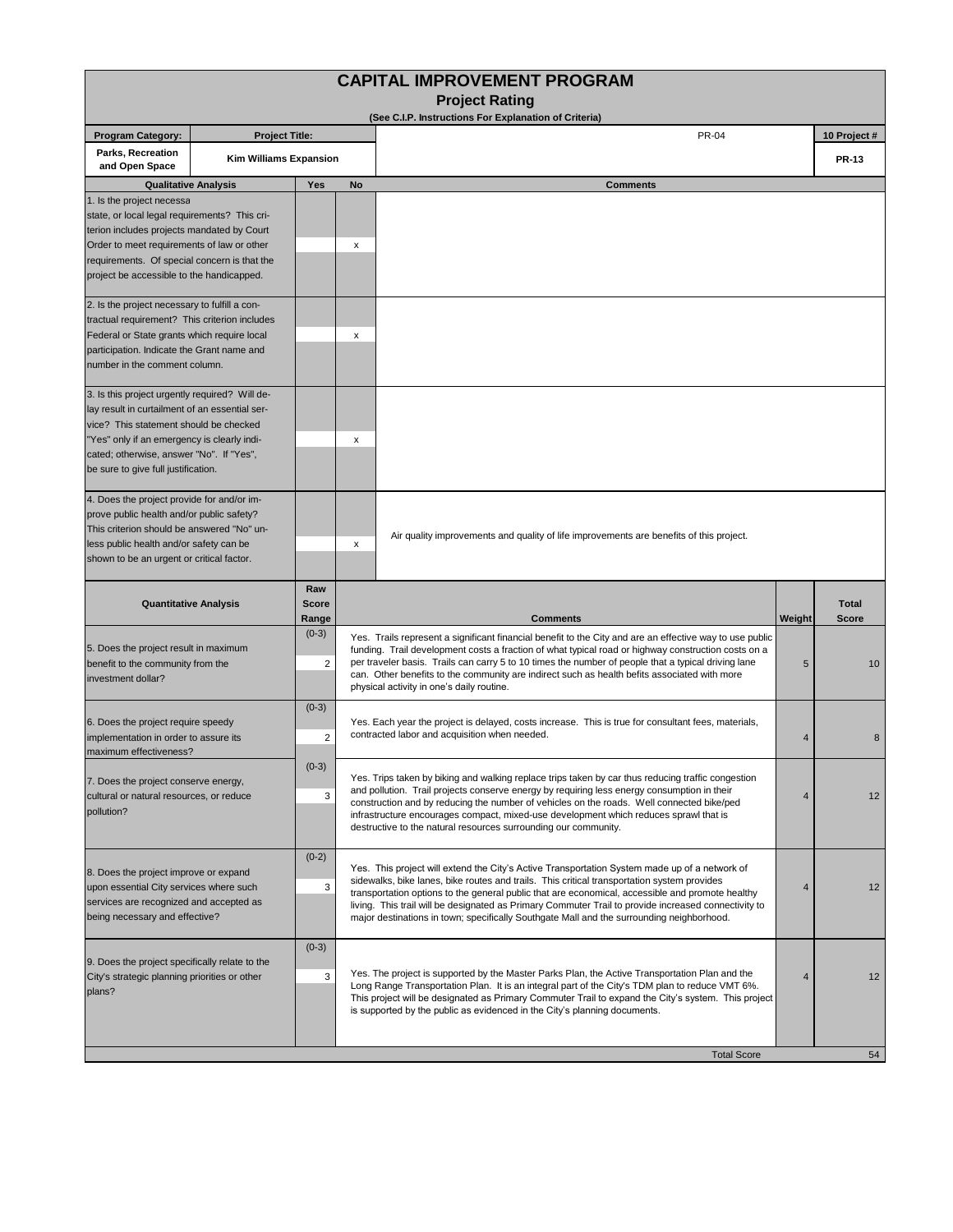| <b>CAPITAL IMPROVEMENT PROGRAM</b><br><b>Project Rating</b>                                                                                                                                                                                                                  |                               |                           |                                                                                                                                                                                                                                                                                                                                                                                                                                                                              |                                                                                                                                                                                                                                                                                                                                                                                                                                                                                                       |              |                              |  |  |  |  |  |
|------------------------------------------------------------------------------------------------------------------------------------------------------------------------------------------------------------------------------------------------------------------------------|-------------------------------|---------------------------|------------------------------------------------------------------------------------------------------------------------------------------------------------------------------------------------------------------------------------------------------------------------------------------------------------------------------------------------------------------------------------------------------------------------------------------------------------------------------|-------------------------------------------------------------------------------------------------------------------------------------------------------------------------------------------------------------------------------------------------------------------------------------------------------------------------------------------------------------------------------------------------------------------------------------------------------------------------------------------------------|--------------|------------------------------|--|--|--|--|--|
|                                                                                                                                                                                                                                                                              |                               |                           |                                                                                                                                                                                                                                                                                                                                                                                                                                                                              | (See C.I.P. Instructions For Explanation of Criteria)                                                                                                                                                                                                                                                                                                                                                                                                                                                 |              |                              |  |  |  |  |  |
| <b>Program Category:</b>                                                                                                                                                                                                                                                     | <b>Project Title:</b>         |                           |                                                                                                                                                                                                                                                                                                                                                                                                                                                                              | <b>PR-04</b>                                                                                                                                                                                                                                                                                                                                                                                                                                                                                          |              | 10 Project #                 |  |  |  |  |  |
| Parks, Recreation<br>and Open Space                                                                                                                                                                                                                                          | <b>Kim Williams Expansion</b> |                           |                                                                                                                                                                                                                                                                                                                                                                                                                                                                              |                                                                                                                                                                                                                                                                                                                                                                                                                                                                                                       | <b>PR-13</b> |                              |  |  |  |  |  |
| <b>Qualitative Analysis</b>                                                                                                                                                                                                                                                  |                               | Yes                       | No                                                                                                                                                                                                                                                                                                                                                                                                                                                                           | <b>Comments</b>                                                                                                                                                                                                                                                                                                                                                                                                                                                                                       |              |                              |  |  |  |  |  |
| 1. Is the project necessa<br>state, or local legal requirements? This cri-<br>terion includes projects mandated by Court<br>Order to meet requirements of law or other<br>requirements. Of special concern is that the<br>project be accessible to the handicapped.          |                               |                           | x                                                                                                                                                                                                                                                                                                                                                                                                                                                                            |                                                                                                                                                                                                                                                                                                                                                                                                                                                                                                       |              |                              |  |  |  |  |  |
| 2. Is the project necessary to fulfill a con-<br>tractual requirement? This criterion includes<br>Federal or State grants which require local<br>participation. Indicate the Grant name and<br>number in the comment column.                                                 |                               |                           | x                                                                                                                                                                                                                                                                                                                                                                                                                                                                            |                                                                                                                                                                                                                                                                                                                                                                                                                                                                                                       |              |                              |  |  |  |  |  |
| 3. Is this project urgently required? Will de-<br>lay result in curtailment of an essential ser-<br>vice? This statement should be checked<br>"Yes" only if an emergency is clearly indi-<br>cated; otherwise, answer "No". If "Yes",<br>be sure to give full justification. |                               |                           | X                                                                                                                                                                                                                                                                                                                                                                                                                                                                            |                                                                                                                                                                                                                                                                                                                                                                                                                                                                                                       |              |                              |  |  |  |  |  |
| 4. Does the project provide for and/or im-<br>prove public health and/or public safety?<br>This criterion should be answered "No" un-<br>less public health and/or safety can be<br>shown to be an urgent or critical factor.                                                |                               |                           | x                                                                                                                                                                                                                                                                                                                                                                                                                                                                            | Air quality improvements and quality of life improvements are benefits of this project.                                                                                                                                                                                                                                                                                                                                                                                                               |              |                              |  |  |  |  |  |
| <b>Quantitative Analysis</b>                                                                                                                                                                                                                                                 |                               | Raw<br>Score<br>Range     |                                                                                                                                                                                                                                                                                                                                                                                                                                                                              | <b>Comments</b>                                                                                                                                                                                                                                                                                                                                                                                                                                                                                       | Weight       | <b>Total</b><br><b>Score</b> |  |  |  |  |  |
| 5. Does the project result in maximum<br>benefit to the community from the<br>investment dollar?                                                                                                                                                                             |                               | $(0-3)$<br>$\overline{2}$ |                                                                                                                                                                                                                                                                                                                                                                                                                                                                              | Yes. Trails represent a significant financial benefit to the City and are an effective way to use public<br>funding. Trail development costs a fraction of what typical road or highway construction costs on a<br>per traveler basis. Trails can carry 5 to 10 times the number of people that a typical driving lane<br>can. Other benefits to the community are indirect such as health befits associated with more<br>physical activity in one's daily routine.                                   |              |                              |  |  |  |  |  |
| 6. Does the project require speedy<br>implementation in order to assure its<br>maximum effectiveness?                                                                                                                                                                        |                               | $(0-3)$<br>$\overline{2}$ |                                                                                                                                                                                                                                                                                                                                                                                                                                                                              | Yes. Each year the project is delayed, costs increase. This is true for consultant fees, materials,<br>contracted labor and acquisition when needed.                                                                                                                                                                                                                                                                                                                                                  |              |                              |  |  |  |  |  |
| $(0-3)$<br>7. Does the project conserve energy,<br>3<br>cultural or natural resources, or reduce<br>pollution?                                                                                                                                                               |                               |                           | Yes. Trips taken by biking and walking replace trips taken by car thus reducing traffic congestion<br>and pollution. Trail projects conserve energy by requiring less energy consumption in their<br>$\overline{4}$<br>construction and by reducing the number of vehicles on the roads. Well connected bike/ped<br>infrastructure encourages compact, mixed-use development which reduces sprawl that is<br>destructive to the natural resources surrounding our community. |                                                                                                                                                                                                                                                                                                                                                                                                                                                                                                       |              |                              |  |  |  |  |  |
| 8. Does the project improve or expand<br>upon essential City services where such<br>services are recognized and accepted as<br>being necessary and effective?                                                                                                                |                               | $(0-2)$<br>3              |                                                                                                                                                                                                                                                                                                                                                                                                                                                                              | Yes. This project will extend the City's Active Transportation System made up of a network of<br>sidewalks, bike lanes, bike routes and trails. This critical transportation system provides<br>transportation options to the general public that are economical, accessible and promote healthy<br>living. This trail will be designated as Primary Commuter Trail to provide increased connectivity to<br>major destinations in town; specifically Southgate Mall and the surrounding neighborhood. |              |                              |  |  |  |  |  |
| 9. Does the project specifically relate to the<br>City's strategic planning priorities or other<br>plans?                                                                                                                                                                    |                               | $(0-3)$<br>3              |                                                                                                                                                                                                                                                                                                                                                                                                                                                                              | Yes. The project is supported by the Master Parks Plan, the Active Transportation Plan and the<br>Long Range Transportation Plan. It is an integral part of the City's TDM plan to reduce VMT 6%.<br>This project will be designated as Primary Commuter Trail to expand the City's system. This project<br>is supported by the public as evidenced in the City's planning documents.                                                                                                                 |              |                              |  |  |  |  |  |
|                                                                                                                                                                                                                                                                              |                               |                           |                                                                                                                                                                                                                                                                                                                                                                                                                                                                              | <b>Total Score</b>                                                                                                                                                                                                                                                                                                                                                                                                                                                                                    |              | 54                           |  |  |  |  |  |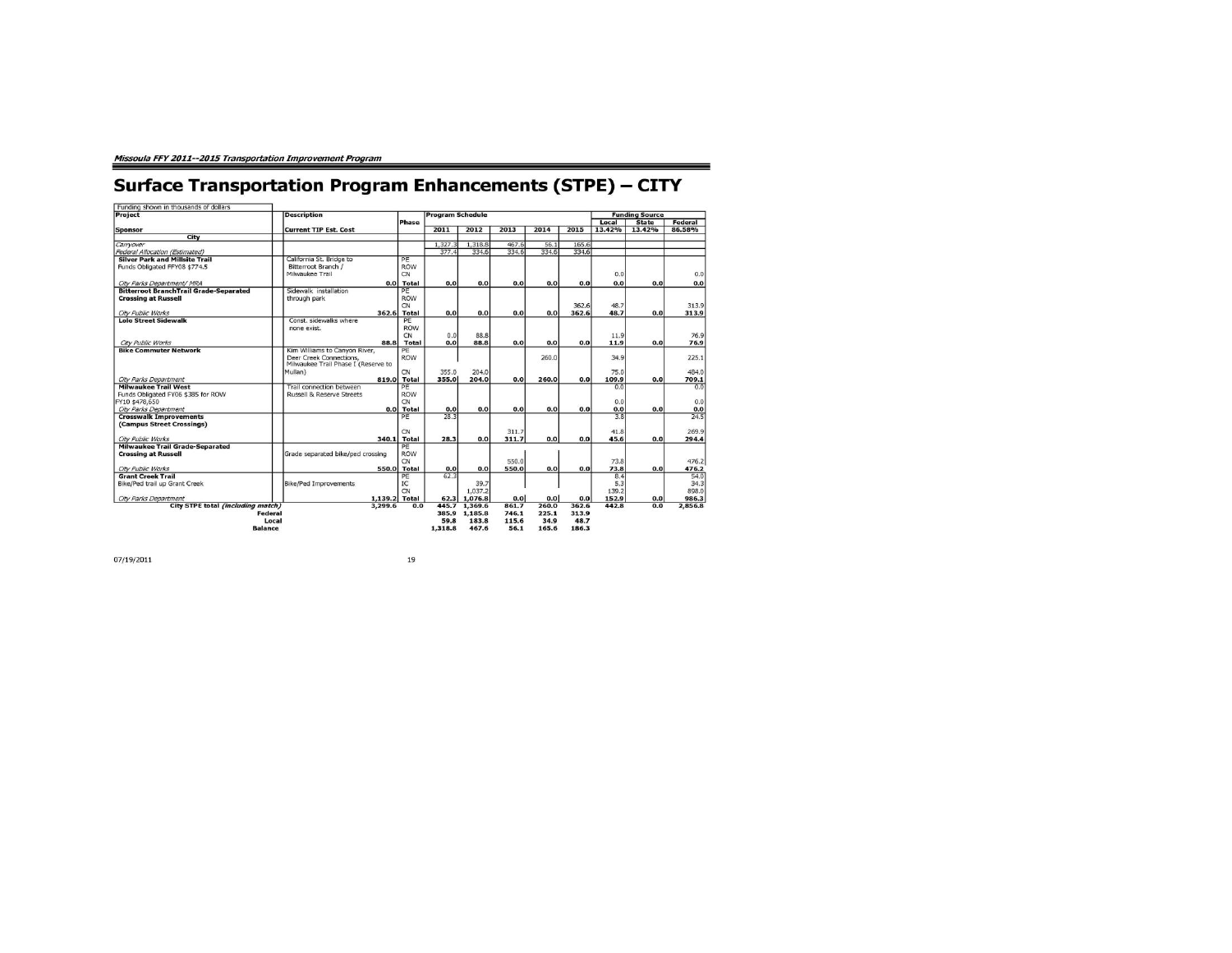## **Surface Transportation Program Enhancements (STPE) - CITY**

∍

| <b>Project</b>                                | <b>Description</b>                   |              | <b>Program Schedule</b> |              |                  |       |       |        | <b>Funding Source</b> |         |
|-----------------------------------------------|--------------------------------------|--------------|-------------------------|--------------|------------------|-------|-------|--------|-----------------------|---------|
|                                               |                                      | <b>Phase</b> |                         |              |                  |       |       | Local  | <b>State</b>          | Federal |
| <b>Sponsor</b>                                | <b>Current TIP Est. Cost</b>         |              | 2011                    | 2012         | 2013             | 2014  | 2015  | 13.42% | 13.42%                | 86.58%  |
| City                                          |                                      |              |                         |              |                  |       |       |        |                       |         |
| Carryover                                     |                                      |              | 1.327.3                 | 1,318.8      | 467.6            | 56.1  | 165.6 |        |                       |         |
| Federal Allocation (Estimated)                |                                      |              | 377.4                   | 334.6        | 334.6            | 334.6 | 334.6 |        |                       |         |
| <b>Silver Park and Millsite Trail</b>         | California St. Bridge to             | PE           |                         |              |                  |       |       |        |                       |         |
| Funds Obligated FFY08 \$774.5                 | Bitterroot Branch /                  | <b>ROW</b>   |                         |              |                  |       |       |        |                       |         |
|                                               | Milwaukee Trail                      | <b>CN</b>    |                         |              |                  |       |       | 0.0    |                       | 0.0     |
| City Parks Department/ MRA                    | 0.0                                  | <b>Total</b> | 0.0                     | 0.0          | 0.0              | 0.0   | 0.0   | 0.0    | 0.0                   | 0.0     |
| <b>Bitterroot BranchTrail Grade-Separated</b> | Sidewalk installation                | PE           |                         |              |                  |       |       |        |                       |         |
| <b>Crossing at Russell</b>                    | through park                         | <b>ROW</b>   |                         |              |                  |       |       |        |                       |         |
|                                               |                                      | <b>CN</b>    |                         |              |                  |       | 362.6 | 48.7   |                       | 313.9   |
| City Public Works                             | 362.6                                | <b>Total</b> | 0.0                     | 0.0          | 0.0              | 0.0   | 362.6 | 48.7   | 0.0                   | 313.9   |
| <b>Lolo Street Sidewalk</b>                   | Const. sidewalks where               | PE           |                         |              |                  |       |       |        |                       |         |
|                                               | none exist.                          | <b>ROW</b>   |                         |              |                  |       |       |        |                       |         |
|                                               |                                      | <b>CN</b>    | 0.0                     | 88.8         |                  |       |       | 11.9   |                       | 76.9    |
| <b>City Public Works</b>                      | 88.8                                 | Total        | 0.0                     | 88.8         | 0.0              | 0.0   | 0.0   | 11.9   | 0.0                   | 76.9    |
| <b>Bike Commuter Network</b>                  | Kim Williams to Canyon River,        | PF           |                         |              |                  |       |       |        |                       |         |
|                                               | Deer Creek Connections.              | <b>ROW</b>   |                         |              |                  | 260.0 |       | 34.9   |                       | 225.1   |
|                                               | Milwaukee Trail Phase I (Reserve to  |              |                         |              |                  |       |       |        |                       |         |
|                                               | Mullan)                              | CN           | 355.0                   | 204.0        |                  |       |       | 75.0   |                       | 484.0   |
| City Parks Department                         | 819.0                                | <b>Total</b> | 355.0                   | 204.0        | 0.0              | 260.0 | 0.0   | 109.9  | 0.0                   | 709.1   |
| <b>Milwaukee Trail West</b>                   | Trail connection between             | PE           |                         |              |                  |       |       | 0.0    |                       | 0.0     |
| Funds Obligated FY06 \$385 for ROW            | <b>Russell &amp; Reserve Streets</b> | <b>ROW</b>   |                         |              |                  |       |       |        |                       |         |
| FY10 \$478,650                                |                                      | CN           |                         |              |                  |       |       | 0.0    |                       | 0.0     |
| City Parks Department                         | 0.0                                  | <b>Total</b> | 0.0                     | 0.0          | 0.0              | 0.0   | 0.0   | 0.0    | 0.0                   | 0.0     |
| <b>Crosswalk Improvements</b>                 |                                      | PF           | 28.3                    |              |                  |       |       | 3.8    |                       | 24.5    |
| (Campus Street Crossings)                     |                                      |              |                         |              |                  |       |       |        |                       |         |
|                                               |                                      | CN           |                         |              | 311.7            |       |       | 41.8   |                       | 269.9   |
| City Public Works                             | 340.1                                | <b>Total</b> | 28.3                    | 0.0          | 311.7            | 0.0   | 0.0   | 45.6   | 0.0                   | 294.4   |
| <b>Milwaukee Trail Grade-Separated</b>        |                                      | PE           |                         |              |                  |       |       |        |                       |         |
| <b>Crossing at Russell</b>                    | Grade separated bike/ped crossing    | <b>ROW</b>   |                         |              |                  |       |       |        |                       |         |
|                                               |                                      | <b>CN</b>    |                         |              | 550.0            |       |       | 73.8   |                       | 476.2   |
| City Public Works                             | 550.0                                | <b>Total</b> | 0.0                     | 0.0          | 550.0            | 0.0   | 0.0   | 73.8   | 0.0                   | 476.2   |
| <b>Grant Creek Trail</b>                      |                                      | PE           | 62.3                    |              |                  |       |       | 8,4    |                       | 54.0    |
| Bike/Ped trail up Grant Creek                 | <b>Bike/Ped Improvements</b>         | IC           |                         | 39.7         |                  |       |       | 5.3    |                       | 34.3    |
|                                               |                                      | CN           |                         | 1.037.2      |                  |       |       | 139.2  |                       | 898.0   |
| City Parks Department                         | 1,139.2                              | Total        |                         | 62.3 1,076.8 | 0.0 <sub>1</sub> | 0.0   | 0.0   | 152.9  | 0.0                   | 986.3   |
| City STPE total (including match)             | 3,299.6                              | 0.0          | 445.7                   | 1.369.6      | 861.7            | 260.0 | 362.6 | 442.8  | 0.0                   | 2,856.8 |
|                                               | <b>Federal</b>                       |              | 385.9                   | 1,185.8      | 746.1            | 225.1 | 313.9 |        |                       |         |
|                                               | Local                                |              | 59.8                    | 183.8        | 115.6            | 34.9  | 48.7  |        |                       |         |
|                                               | <b>Balance</b>                       |              | 1,318.8                 | 467.6        | 56.1             | 165.6 | 186.3 |        |                       |         |

07/19/2011

 $19\,$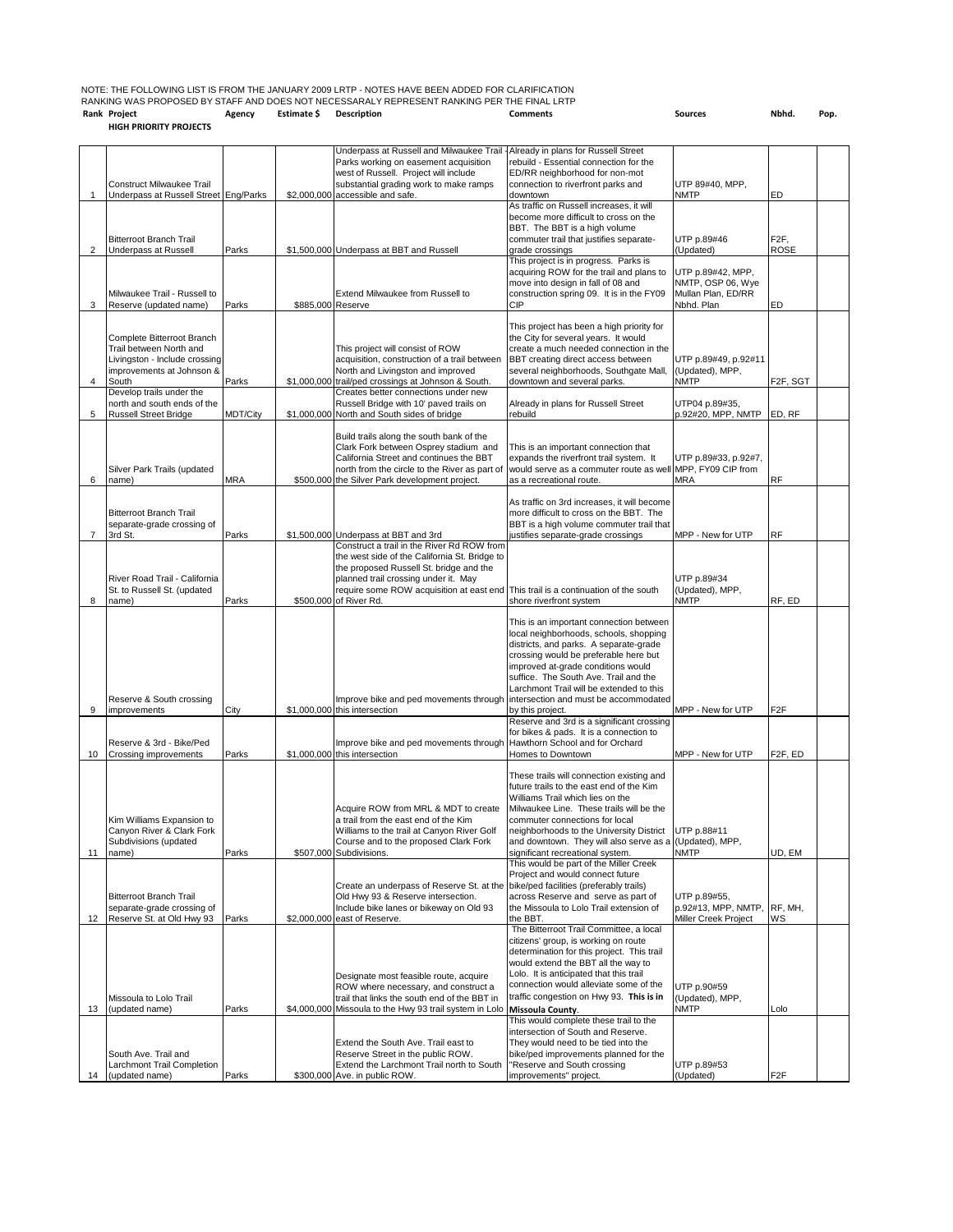| Rank Project                                                                                     | Agency | <b>Estimate S</b> Description |  | <b>Comments</b> |
|--------------------------------------------------------------------------------------------------|--------|-------------------------------|--|-----------------|
| RANKING WAS PROPOSED BY STAFF AND DOES NOT NECESSARALY REPRESENT RANKING PER THE FINAL LRTP      |        |                               |  |                 |
| NOTE: THE FOLLOWING LIST IS FROM THE JANUARY 2009 LRTP - NOTES HAVE BEEN ADDED FOR CLARIFICATION |        |                               |  |                 |

**HIGH PRIORITY PROJECTS**

**Rank Project Agency Estimate \$ Description Comments Sources Nbhd. Pop.**

|                |                                                          |                 |                   | Underpass at Russell and Milwaukee Trail                                                                                   | - Already in plans for Russell Street                                                 |                                             |                           |  |
|----------------|----------------------------------------------------------|-----------------|-------------------|----------------------------------------------------------------------------------------------------------------------------|---------------------------------------------------------------------------------------|---------------------------------------------|---------------------------|--|
|                |                                                          |                 |                   | Parks working on easement acquisition<br>west of Russell. Project will include                                             | rebuild - Essential connection for the<br>ED/RR neighborhood for non-mot              |                                             |                           |  |
|                | <b>Construct Milwaukee Trail</b>                         |                 |                   | substantial grading work to make ramps                                                                                     | connection to riverfront parks and                                                    | UTP 89#40, MPP,                             |                           |  |
| 1              | Underpass at Russell Street Eng/Parks                    |                 |                   | \$2,000,000 accessible and safe.                                                                                           | downtown                                                                              | <b>NMTP</b>                                 | ED                        |  |
|                |                                                          |                 |                   |                                                                                                                            | As traffic on Russell increases, it will<br>become more difficult to cross on the     |                                             |                           |  |
|                |                                                          |                 |                   |                                                                                                                            | BBT. The BBT is a high volume                                                         |                                             |                           |  |
| $\overline{2}$ | <b>Bitterroot Branch Trail</b>                           | Parks           |                   |                                                                                                                            | commuter trail that justifies separate-<br>grade crossings                            | UTP p.89#46<br>(Updated)                    | F <sub>2</sub> F,<br>ROSE |  |
|                | Underpass at Russell                                     |                 |                   | \$1,500,000 Underpass at BBT and Russell                                                                                   | This project is in progress. Parks is                                                 |                                             |                           |  |
|                |                                                          |                 |                   |                                                                                                                            | acquiring ROW for the trail and plans to                                              | UTP p.89#42, MPP,                           |                           |  |
|                | Milwaukee Trail - Russell to                             |                 |                   | Extend Milwaukee from Russell to                                                                                           | move into design in fall of 08 and<br>construction spring 09. It is in the FY09       | NMTP, OSP 06, Wye<br>Mullan Plan, ED/RR     |                           |  |
| 3              | Reserve (updated name)                                   | Parks           | \$885,000 Reserve |                                                                                                                            | СIР                                                                                   | Nbhd. Plan                                  | ED                        |  |
|                |                                                          |                 |                   |                                                                                                                            |                                                                                       |                                             |                           |  |
|                | Complete Bitterroot Branch                               |                 |                   |                                                                                                                            | This project has been a high priority for<br>the City for several years. It would     |                                             |                           |  |
|                | Trail between North and                                  |                 |                   | This project will consist of ROW                                                                                           | create a much needed connection in the                                                |                                             |                           |  |
|                | Livingston - Include crossing                            |                 |                   | acquisition, construction of a trail between                                                                               | BBT creating direct access between                                                    | UTP p.89#49, p.92#11                        |                           |  |
| 4              | improvements at Johnson &<br>South                       | Parks           |                   | North and Livingston and improved<br>\$1,000,000 trail/ped crossings at Johnson & South.                                   | several neighborhoods, Southgate Mall,<br>downtown and several parks.                 | (Updated), MPP,<br><b>NMTP</b>              | F <sub>2F</sub> , SGT     |  |
|                | Develop trails under the                                 |                 |                   | Creates better connections under new                                                                                       |                                                                                       |                                             |                           |  |
|                | north and south ends of the                              |                 |                   | Russell Bridge with 10' paved trails on                                                                                    | Already in plans for Russell Street                                                   | UTP04 p.89#35,                              |                           |  |
| 5              | <b>Russell Street Bridge</b>                             | <b>MDT/City</b> |                   | \$1,000,000 North and South sides of bridge                                                                                | rebuild                                                                               | p.92#20, MPP, NMTP                          | ED, RF                    |  |
|                |                                                          |                 |                   | Build trails along the south bank of the                                                                                   |                                                                                       |                                             |                           |  |
|                |                                                          |                 |                   | Clark Fork between Osprey stadium and<br>California Street and continues the BBT                                           | This is an important connection that<br>expands the riverfront trail system. It       | UTP p.89#33, p.92#7,                        |                           |  |
|                | Silver Park Trails (updated                              |                 |                   | north from the circle to the River as part of                                                                              | would serve as a commuter route as well                                               | MPP, FY09 CIP from                          |                           |  |
| 6              | name)                                                    | <b>MRA</b>      |                   | \$500,000 the Silver Park development project.                                                                             | as a recreational route.                                                              | <b>MRA</b>                                  | RF                        |  |
|                |                                                          |                 |                   |                                                                                                                            | As traffic on 3rd increases, it will become                                           |                                             |                           |  |
|                | <b>Bitterroot Branch Trail</b>                           |                 |                   |                                                                                                                            | more difficult to cross on the BBT. The                                               |                                             |                           |  |
|                | separate-grade crossing of                               |                 |                   |                                                                                                                            | BBT is a high volume commuter trail that                                              |                                             |                           |  |
| $\overline{7}$ | 3rd St.                                                  | Parks           |                   | \$1,500,000 Underpass at BBT and 3rd<br>Construct a trail in the River Rd ROW from                                         | justifies separate-grade crossings                                                    | MPP - New for UTP                           | <b>RF</b>                 |  |
|                |                                                          |                 |                   | the west side of the California St. Bridge to                                                                              |                                                                                       |                                             |                           |  |
|                | River Road Trail - California                            |                 |                   | the proposed Russell St. bridge and the                                                                                    |                                                                                       |                                             |                           |  |
|                | St. to Russell St. (updated                              |                 |                   | planned trail crossing under it. May<br>require some ROW acquisition at east end This trail is a continuation of the south |                                                                                       | UTP p.89#34<br>(Updated), MPP,              |                           |  |
| 8              | name)                                                    | Parks           |                   | \$500,000 of River Rd.                                                                                                     | shore riverfront system                                                               | <b>NMTP</b>                                 | RF, ED                    |  |
|                |                                                          |                 |                   |                                                                                                                            | This is an important connection between                                               |                                             |                           |  |
|                |                                                          |                 |                   |                                                                                                                            | local neighborhoods, schools, shopping                                                |                                             |                           |  |
|                |                                                          |                 |                   |                                                                                                                            | districts, and parks. A separate-grade                                                |                                             |                           |  |
|                |                                                          |                 |                   |                                                                                                                            | crossing would be preferable here but<br>improved at-grade conditions would           |                                             |                           |  |
|                |                                                          |                 |                   |                                                                                                                            | suffice. The South Ave. Trail and the                                                 |                                             |                           |  |
|                |                                                          |                 |                   |                                                                                                                            | Larchmont Trail will be extended to this                                              |                                             |                           |  |
| 9              | Reserve & South crossing<br>improvements                 | City            |                   | Improve bike and ped movements through<br>\$1,000,000 this intersection                                                    | intersection and must be accommodated<br>by this project.                             | MPP - New for UTP                           | F <sub>2</sub> F          |  |
|                |                                                          |                 |                   |                                                                                                                            | Reserve and 3rd is a significant crossing                                             |                                             |                           |  |
|                |                                                          |                 |                   |                                                                                                                            | for bikes & pads. It is a connection to                                               |                                             |                           |  |
| 10             | Reserve & 3rd - Bike/Ped<br><b>Crossing improvements</b> | Parks           |                   | Improve bike and ped movements through<br>\$1,000,000 this intersection                                                    | Hawthorn School and for Orchard<br>Homes to Downtown                                  | MPP - New for UTP                           | F2F, ED                   |  |
|                |                                                          |                 |                   |                                                                                                                            |                                                                                       |                                             |                           |  |
|                |                                                          |                 |                   |                                                                                                                            | These trails will connection existing and<br>future trails to the east end of the Kim |                                             |                           |  |
|                |                                                          |                 |                   |                                                                                                                            | Williams Trail which lies on the                                                      |                                             |                           |  |
|                |                                                          |                 |                   | Acquire ROW from MRL & MDT to create                                                                                       | Milwaukee Line. These trails will be the                                              |                                             |                           |  |
|                | Kim Williams Expansion to<br>Canyon River & Clark Fork   |                 |                   | a trail from the east end of the Kim                                                                                       | commuter connections for local<br>neighborhoods to the University District            | UTP p.88#11                                 |                           |  |
|                | Subdivisions (updated                                    |                 |                   | Williams to the trail at Canyon River Golf<br>Course and to the proposed Clark Fork                                        | and downtown. They will also serve as a (Updated), MPP,                               |                                             |                           |  |
| 11             | name)                                                    | Parks           |                   | \$507,000 Subdivisions.                                                                                                    | significant recreational system.                                                      | <b>NMTP</b>                                 | UD, EM                    |  |
|                |                                                          |                 |                   |                                                                                                                            | This would be part of the Miller Creek<br>Project and would connect future            |                                             |                           |  |
|                |                                                          |                 |                   | Create an underpass of Reserve St. at the                                                                                  | bike/ped facilities (preferably trails)                                               |                                             |                           |  |
|                | <b>Bitterroot Branch Trail</b>                           |                 |                   | Old Hwy 93 & Reserve intersection.                                                                                         | across Reserve and serve as part of                                                   | UTP p.89#55,                                |                           |  |
| 12             | separate-grade crossing of<br>Reserve St. at Old Hwy 93  | Parks           |                   | Include bike lanes or bikeway on Old 93<br>\$2,000,000 east of Reserve.                                                    | the Missoula to Lolo Trail extension of<br>the BBT.                                   | p.92#13, MPP, NMTP,<br>Miller Creek Project | RF, MH,<br>WS             |  |
|                |                                                          |                 |                   |                                                                                                                            | The Bitterroot Trail Committee, a local                                               |                                             |                           |  |
|                |                                                          |                 |                   |                                                                                                                            | citizens' group, is working on route                                                  |                                             |                           |  |
|                |                                                          |                 |                   |                                                                                                                            | determination for this project. This trail<br>would extend the BBT all the way to     |                                             |                           |  |
|                |                                                          |                 |                   | Designate most feasible route, acquire                                                                                     | Lolo. It is anticipated that this trail                                               |                                             |                           |  |
|                |                                                          |                 |                   | ROW where necessary, and construct a                                                                                       | connection would alleviate some of the                                                | UTP p.90#59                                 |                           |  |
| 13             | Missoula to Lolo Trail<br>(updated name)                 | Parks           |                   | trail that links the south end of the BBT in<br>\$4,000,000 Missoula to the Hwy 93 trail system in Lolo                    | traffic congestion on Hwy 93. This is in<br>Missoula County.                          | (Updated), MPP,<br><b>NMTP</b>              | Lolo                      |  |
|                |                                                          |                 |                   |                                                                                                                            | This would complete these trail to the                                                |                                             |                           |  |
|                |                                                          |                 |                   |                                                                                                                            | intersection of South and Reserve.                                                    |                                             |                           |  |
|                | South Ave. Trail and                                     |                 |                   | Extend the South Ave. Trail east to<br>Reserve Street in the public ROW.                                                   | They would need to be tied into the<br>bike/ped improvements planned for the          |                                             |                           |  |
|                | Larchmont Trail Completion                               |                 |                   | Extend the Larchmont Trail north to South                                                                                  | "Reserve and South crossing                                                           | UTP p.89#53                                 |                           |  |
| 14             | (updated name)                                           | Parks           |                   | \$300,000 Ave. in public ROW.                                                                                              | improvements" project.                                                                | (Updated)                                   | F <sub>2</sub> F          |  |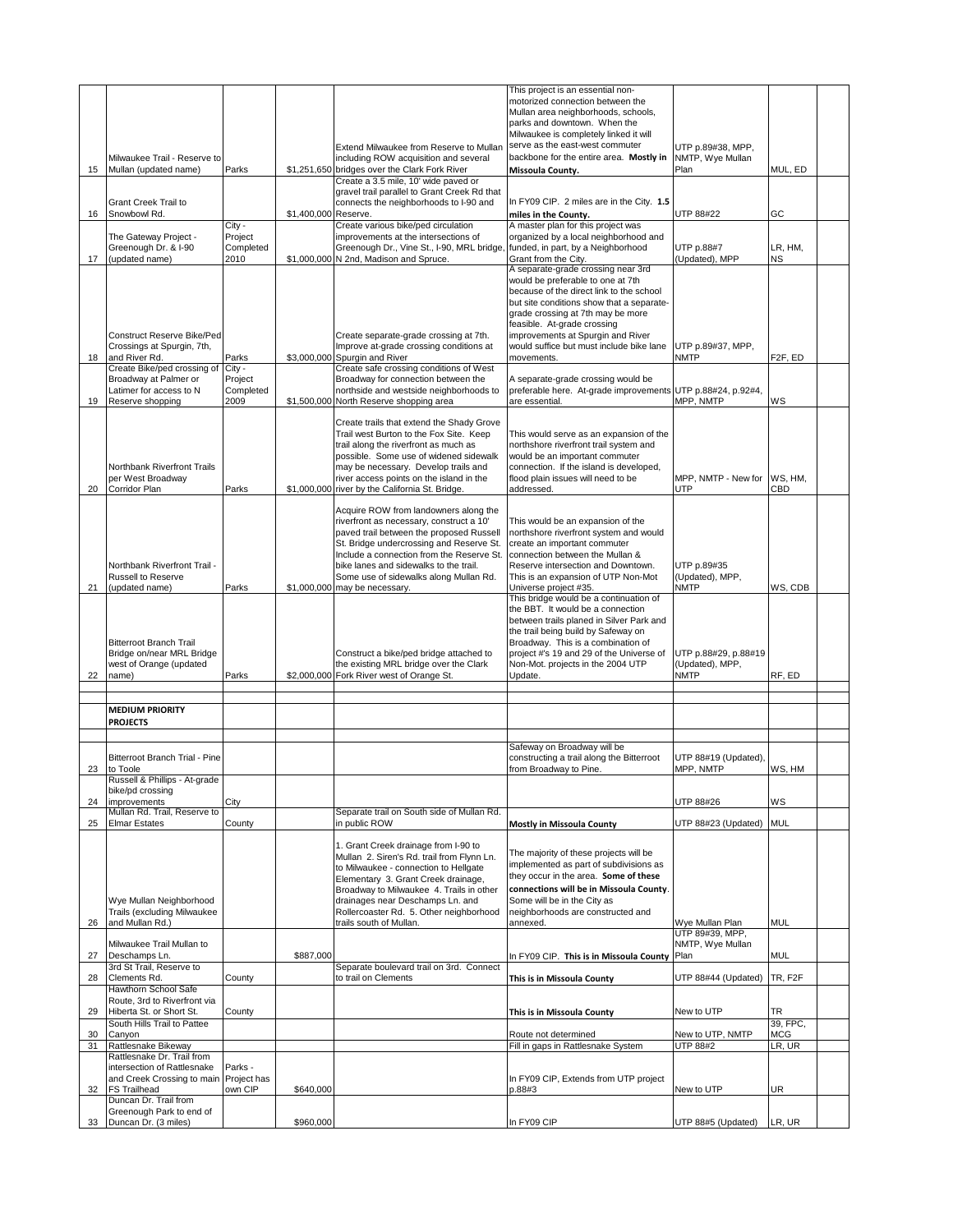|          |                                                                                                                            |                                        |                      |                                                                                                                                                                                                                                                                                                                                                           | This project is an essential non-<br>motorized connection between the<br>Mullan area neighborhoods, schools,<br>parks and downtown. When the                                                                                                                                                                                        |                                                        |                      |
|----------|----------------------------------------------------------------------------------------------------------------------------|----------------------------------------|----------------------|-----------------------------------------------------------------------------------------------------------------------------------------------------------------------------------------------------------------------------------------------------------------------------------------------------------------------------------------------------------|-------------------------------------------------------------------------------------------------------------------------------------------------------------------------------------------------------------------------------------------------------------------------------------------------------------------------------------|--------------------------------------------------------|----------------------|
| 15       | Milwaukee Trail - Reserve to<br>Mullan (updated name)                                                                      | Parks                                  |                      | Extend Milwaukee from Reserve to Mullan<br>including ROW acquisition and several<br>\$1,251,650 bridges over the Clark Fork River                                                                                                                                                                                                                         | Milwaukee is completely linked it will<br>serve as the east-west commuter<br>backbone for the entire area. Mostly in<br>Missoula County.                                                                                                                                                                                            | UTP p.89#38, MPP,<br>NMTP, Wye Mullan<br>Plan          | MUL, ED              |
|          |                                                                                                                            |                                        |                      | Create a 3.5 mile, 10' wide paved or                                                                                                                                                                                                                                                                                                                      |                                                                                                                                                                                                                                                                                                                                     |                                                        |                      |
| 16       | <b>Grant Creek Trail to</b><br>Snowbowl Rd.                                                                                |                                        | \$1,400,000 Reserve. | gravel trail parallel to Grant Creek Rd that<br>connects the neighborhoods to I-90 and                                                                                                                                                                                                                                                                    | In FY09 CIP. 2 miles are in the City. 1.5<br>miles in the County.                                                                                                                                                                                                                                                                   | UTP 88#22                                              | GC                   |
| 17       | The Gateway Project -<br>Greenough Dr. & I-90<br>(updated name)                                                            | City -<br>Project<br>Completed<br>2010 |                      | Create various bike/ped circulation<br>improvements at the intersections of<br>Greenough Dr., Vine St., I-90, MRL bridge<br>\$1,000,000 N 2nd, Madison and Spruce.                                                                                                                                                                                        | A master plan for this project was<br>organized by a local neighborhood and<br>funded, in part, by a Neighborhood<br>Grant from the City.                                                                                                                                                                                           | UTP p.88#7<br>(Updated), MPP                           | LR, HM,<br>ΝS        |
| 18       | Construct Reserve Bike/Ped<br>Crossings at Spurgin, 7th,<br>and River Rd.                                                  | Parks                                  |                      | Create separate-grade crossing at 7th.<br>Improve at-grade crossing conditions at<br>\$3,000,000 Spurgin and River                                                                                                                                                                                                                                        | A separate-grade crossing near 3rd<br>would be preferable to one at 7th<br>because of the direct link to the school<br>but site conditions show that a separate-<br>grade crossing at 7th may be more<br>feasible. At-grade crossing<br>improvements at Spurgin and River<br>would suffice but must include bike lane<br>movements. | UTP p.89#37, MPP,<br><b>NMTP</b>                       | F <sub>2F</sub> , ED |
|          | Create Bike/ped crossing of<br>Broadway at Palmer or<br>Latimer for access to N                                            | City -<br>Project<br>Completed         |                      | Create safe crossing conditions of West<br>Broadway for connection between the<br>northside and westside neighborhoods to                                                                                                                                                                                                                                 | A separate-grade crossing would be<br>preferable here. At-grade improvements UTP p.88#24, p.92#4,                                                                                                                                                                                                                                   |                                                        |                      |
| 19<br>20 | Reserve shopping<br>Northbank Riverfront Trails<br>per West Broadway<br>Corridor Plan                                      | 2009<br>Parks                          |                      | \$1,500,000 North Reserve shopping area<br>Create trails that extend the Shady Grove<br>Trail west Burton to the Fox Site. Keep<br>trail along the riverfront as much as<br>possible. Some use of widened sidewalk<br>may be necessary. Develop trails and<br>river access points on the island in the<br>\$1,000,000 river by the California St. Bridge. | are essential.<br>This would serve as an expansion of the<br>northshore riverfront trail system and<br>would be an important commuter<br>connection. If the island is developed,<br>flood plain issues will need to be<br>addressed.                                                                                                | MPP, NMTP<br>MPP, NMTP - New for<br>UTP                | ws<br>WS, HM,<br>CBD |
| 21       | Northbank Riverfront Trail -<br>Russell to Reserve<br>(updated name)                                                       | Parks                                  |                      | Acquire ROW from landowners along the<br>riverfront as necessary, construct a 10'<br>paved trail between the proposed Russell<br>St. Bridge undercrossing and Reserve St.<br>Include a connection from the Reserve St.<br>bike lanes and sidewalks to the trail.<br>Some use of sidewalks along Mullan Rd.<br>\$1,000,000 may be necessary.               | This would be an expansion of the<br>northshore riverfront system and would<br>create an important commuter<br>connection between the Mullan &<br>Reserve intersection and Downtown.<br>This is an expansion of UTP Non-Mot<br>Universe project #35.                                                                                | UTP p.89#35<br>(Updated), MPP,<br><b>NMTP</b>          | WS, CDB              |
| 22       | <b>Bitterroot Branch Trail</b><br>Bridge on/near MRL Bridge<br>west of Orange (updated<br>name)                            | Parks                                  |                      | Construct a bike/ped bridge attached to<br>the existing MRL bridge over the Clark<br>\$2,000,000 Fork River west of Orange St.                                                                                                                                                                                                                            | This bridge would be a continuation of<br>the BBT. It would be a connection<br>between trails planed in Silver Park and<br>the trail being build by Safeway on<br>Broadway. This is a combination of<br>project #'s 19 and 29 of the Universe of<br>Non-Mot. projects in the 2004 UTP<br>Update.                                    | UTP p.88#29, p.88#19<br>(Updated), MPP,<br><b>NMTP</b> | RF, ED               |
|          |                                                                                                                            |                                        |                      |                                                                                                                                                                                                                                                                                                                                                           |                                                                                                                                                                                                                                                                                                                                     |                                                        |                      |
|          | <b>MEDIUM PRIORITY</b>                                                                                                     |                                        |                      |                                                                                                                                                                                                                                                                                                                                                           |                                                                                                                                                                                                                                                                                                                                     |                                                        |                      |
|          | <b>PROJECTS</b>                                                                                                            |                                        |                      |                                                                                                                                                                                                                                                                                                                                                           |                                                                                                                                                                                                                                                                                                                                     |                                                        |                      |
|          |                                                                                                                            |                                        |                      |                                                                                                                                                                                                                                                                                                                                                           |                                                                                                                                                                                                                                                                                                                                     |                                                        |                      |
|          | Bitterroot Branch Trial - Pine                                                                                             |                                        |                      |                                                                                                                                                                                                                                                                                                                                                           | Safeway on Broadway will be<br>constructing a trail along the Bitterroot                                                                                                                                                                                                                                                            | UTP 88#19 (Updated),                                   |                      |
| 23       | to Toole<br>Russell & Phillips - At-grade                                                                                  |                                        |                      |                                                                                                                                                                                                                                                                                                                                                           | from Broadway to Pine.                                                                                                                                                                                                                                                                                                              | MPP, NMTP                                              | WS, HM               |
| 24       | bike/pd crossing<br>improvements                                                                                           | City                                   |                      |                                                                                                                                                                                                                                                                                                                                                           |                                                                                                                                                                                                                                                                                                                                     | UTP 88#26                                              | ws                   |
| 25       | Mullan Rd. Trail, Reserve to<br><b>Elmar Estates</b>                                                                       | County                                 |                      | Separate trail on South side of Mullan Rd.<br>in public ROW                                                                                                                                                                                                                                                                                               | <b>Mostly in Missoula County</b>                                                                                                                                                                                                                                                                                                    | UTP 88#23 (Updated)                                    | MUL                  |
| 26       | Wye Mullan Neighborhood<br>Trails (excluding Milwaukee<br>and Mullan Rd.)                                                  |                                        |                      | 1. Grant Creek drainage from I-90 to<br>Mullan 2. Siren's Rd. trail from Flynn Ln.<br>to Milwaukee - connection to Hellgate<br>Elementary 3. Grant Creek drainage,<br>Broadway to Milwaukee 4. Trails in other<br>drainages near Deschamps Ln. and<br>Rollercoaster Rd. 5. Other neighborhood<br>trails south of Mullan.                                  | The majority of these projects will be<br>implemented as part of subdivisions as<br>they occur in the area. Some of these<br>connections will be in Missoula County.<br>Some will be in the City as<br>neighborhoods are constructed and<br>annexed.                                                                                | Wye Mullan Plan                                        | MUL                  |
|          | Milwaukee Trail Mullan to                                                                                                  |                                        |                      |                                                                                                                                                                                                                                                                                                                                                           |                                                                                                                                                                                                                                                                                                                                     | UTP 89#39, MPP,<br>NMTP, Wye Mullan                    |                      |
| 27       | Deschamps Ln.<br>3rd St Trail, Reserve to                                                                                  |                                        | \$887,000            | Separate boulevard trail on 3rd. Connect                                                                                                                                                                                                                                                                                                                  | In FY09 CIP. This is in Missoula County                                                                                                                                                                                                                                                                                             | Plan                                                   | MUL                  |
| 28       | Clements Rd.<br>Hawthorn School Safe                                                                                       | County                                 |                      | to trail on Clements                                                                                                                                                                                                                                                                                                                                      | This is in Missoula County                                                                                                                                                                                                                                                                                                          | UTP 88#44 (Updated)                                    | TR, F2F              |
| 29       | Route, 3rd to Riverfront via<br>Hiberta St. or Short St.                                                                   | County                                 |                      |                                                                                                                                                                                                                                                                                                                                                           | This is in Missoula County                                                                                                                                                                                                                                                                                                          | New to UTP                                             | TR                   |
| 30       | South Hills Trail to Pattee<br>Canyon                                                                                      |                                        |                      |                                                                                                                                                                                                                                                                                                                                                           | Route not determined                                                                                                                                                                                                                                                                                                                | New to UTP, NMTP                                       | 39, FPC,<br>MCG      |
| 31       | Rattlesnake Bikeway                                                                                                        |                                        |                      |                                                                                                                                                                                                                                                                                                                                                           | Fill in gaps in Rattlesnake System                                                                                                                                                                                                                                                                                                  | <b>UTP 88#2</b>                                        | LR, UR               |
| 32       | Rattlesnake Dr. Trail from<br>intersection of Rattlesnake<br>and Creek Crossing to main Project has<br><b>FS Trailhead</b> | Parks -<br>own CIP                     | \$640,000            |                                                                                                                                                                                                                                                                                                                                                           | In FY09 CIP, Extends from UTP project<br>p.88#3                                                                                                                                                                                                                                                                                     | New to UTP                                             | UR                   |
|          | Duncan Dr. Trail from<br>Greenough Park to end of                                                                          |                                        |                      |                                                                                                                                                                                                                                                                                                                                                           |                                                                                                                                                                                                                                                                                                                                     |                                                        |                      |
| 33       | Duncan Dr. (3 miles)                                                                                                       |                                        | \$960,000            |                                                                                                                                                                                                                                                                                                                                                           | In FY09 CIP                                                                                                                                                                                                                                                                                                                         | UTP 88#5 (Updated)                                     | LR, UR               |